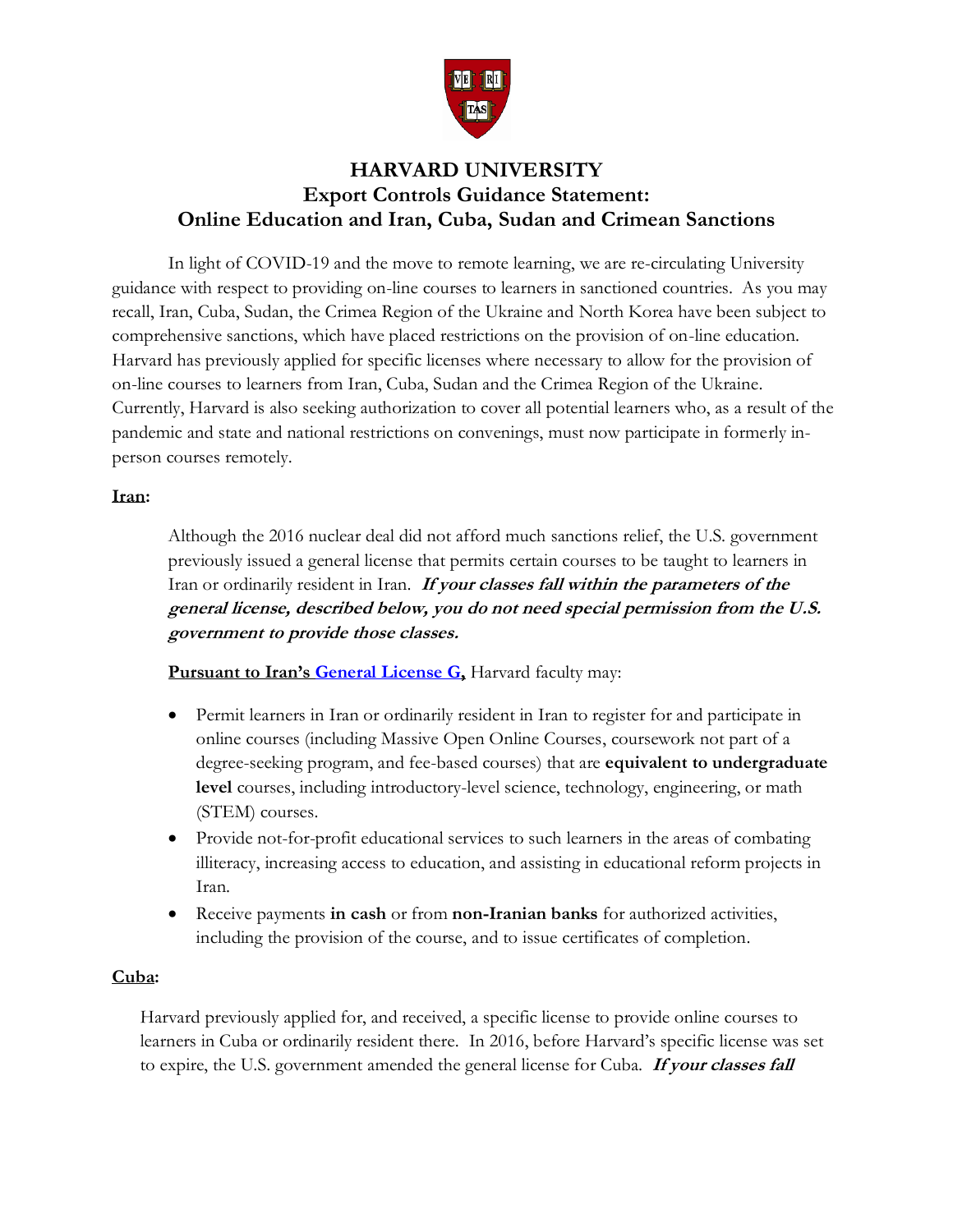

# **HARVARD UNIVERSITY Export Controls Guidance Statement: Online Education and Iran, Cuba, Sudan and Crimean Sanctions**

In light of COVID-19 and the move to remote learning, we are re-circulating University guidance with respect to providing on-line courses to learners in sanctioned countries. As you may recall, Iran, Cuba, Sudan, the Crimea Region of the Ukraine and North Korea have been subject to comprehensive sanctions, which have placed restrictions on the provision of on-line education. Harvard has previously applied for specific licenses where necessary to allow for the provision of on-line courses to learners from Iran, Cuba, Sudan and the Crimea Region of the Ukraine. Currently, Harvard is also seeking authorization to cover all potential learners who, as a result of the pandemic and state and national restrictions on convenings, must now participate in formerly inperson courses remotely.

## **Iran:**

Although the 2016 nuclear deal did not afford much sanctions relief, the U.S. government previously issued a general license that permits certain courses to be taught to learners in Iran or ordinarily resident in Iran. **If your classes fall within the parameters of the general license, described below, you do not need special permission from the U.S. government to provide those classes.** 

**Pursuant to Iran's [General License G,](https://www.treasury.gov/resource-center/sanctions/Programs/Documents/iran_glg.pdf) Harvard faculty may:** 

- Permit learners in Iran or ordinarily resident in Iran to register for and participate in online courses (including Massive Open Online Courses, coursework not part of a degree-seeking program, and fee-based courses) that are **equivalent to undergraduate level** courses, including introductory-level science, technology, engineering, or math (STEM) courses.
- Provide not-for-profit educational services to such learners in the areas of combating illiteracy, increasing access to education, and assisting in educational reform projects in Iran.
- Receive payments **in cash** or from **non-Iranian banks** for authorized activities, including the provision of the course, and to issue certificates of completion.

## **Cuba:**

Harvard previously applied for, and received, a specific license to provide online courses to learners in Cuba or ordinarily resident there. In 2016, before Harvard's specific license was set to expire, the U.S. government amended the general license for Cuba. **If your classes fall**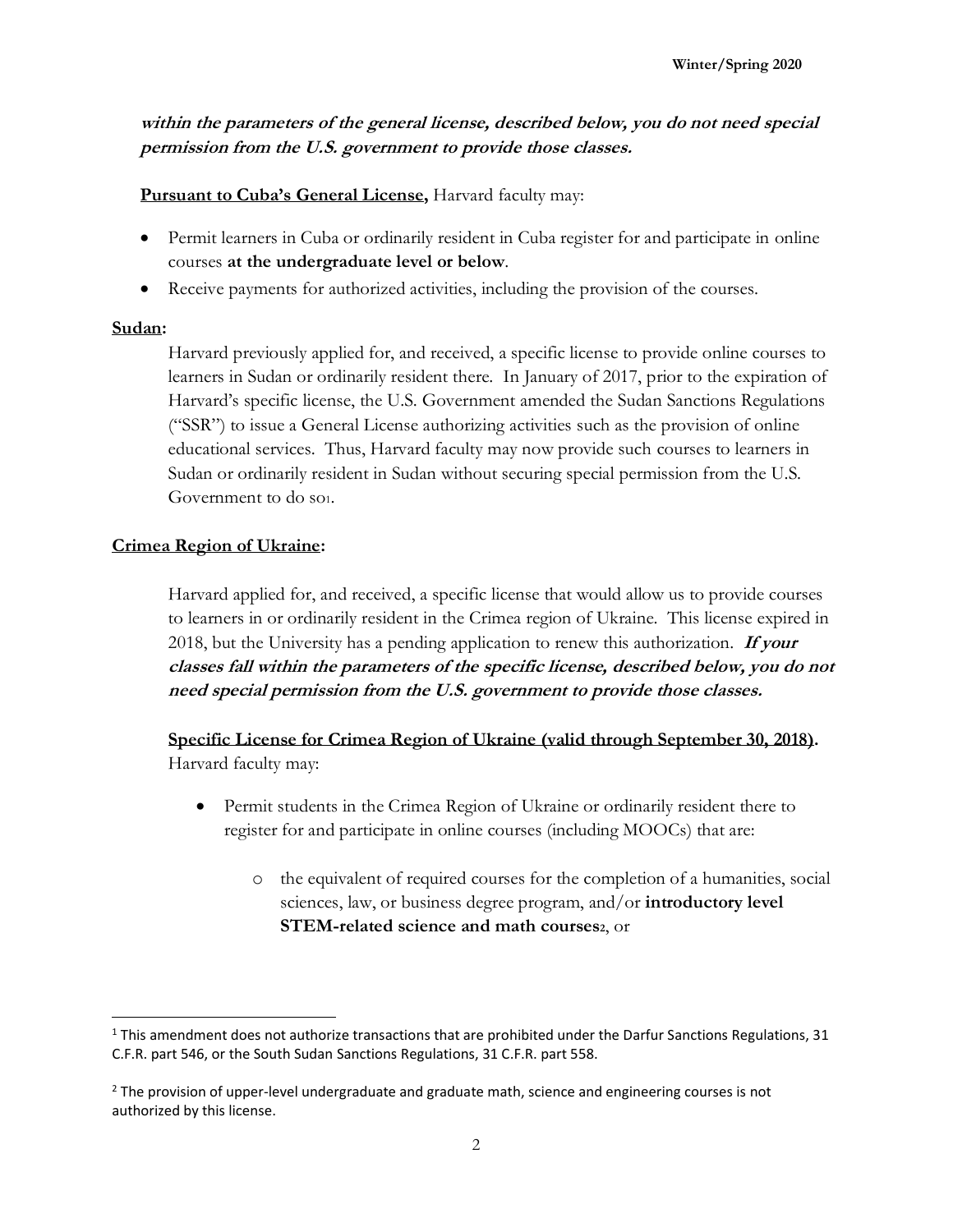**within the parameters of the general license, described below, you do not need special permission from the U.S. government to provide those classes.**

**Pursuant to Cuba's General License,** Harvard faculty may:

- Permit learners in Cuba or ordinarily resident in Cuba register for and participate in online courses **at the undergraduate level or below**.
- Receive payments for authorized activities, including the provision of the courses.

# **Sudan:**

Harvard previously applied for, and received, a specific license to provide online courses to learners in Sudan or ordinarily resident there. In January of 2017, prior to the expiration of Harvard's specific license, the U.S. Government amended the Sudan Sanctions Regulations ("SSR") to issue a General License authorizing activities such as the provision of online educational services. Thus, Harvard faculty may now provide such courses to learners in Sudan or ordinarily resident in Sudan without securing special permission from the U.S. Government to do so1.

# **Crimea Region of Ukraine:**

Harvard applied for, and received, a specific license that would allow us to provide courses to learners in or ordinarily resident in the Crimea region of Ukraine. This license expired in 2018, but the University has a pending application to renew this authorization. **If your classes fall within the parameters of the specific license, described below, you do not need special permission from the U.S. government to provide those classes.**

**Specific License for Crimea Region of Ukraine (valid through September 30, 2018).** Harvard faculty may:

- Permit students in the Crimea Region of Ukraine or ordinarily resident there to register for and participate in online courses (including MOOCs) that are:
	- o the equivalent of required courses for the completion of a humanities, social sciences, law, or business degree program, and/or **introductory level STEM-related science and math courses2**, or

<sup>1</sup> This amendment does not authorize transactions that are prohibited under the Darfur Sanctions Regulations, 31 C.F.R. part 546, or the South Sudan Sanctions Regulations, 31 C.F.R. part 558.

<sup>&</sup>lt;sup>2</sup> The provision of upper-level undergraduate and graduate math, science and engineering courses is not authorized by this license.